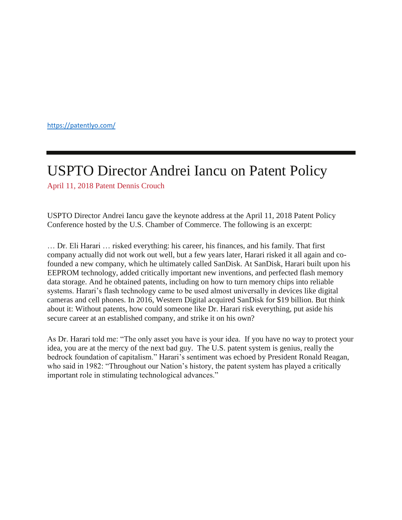<https://patentlyo.com/>

## [USPTO Director Andrei Iancu on Patent Policy](https://patentlyo.com/patent/2018/04/director-andrei-patent.html)

[April 11, 2018](https://patentlyo.com/patent/2018/04/director-andrei-patent.html) [Patent](https://patentlyo.com/patent) [Dennis Crouch](https://patentlyo.com/author/dennis-crouch)

USPTO Director Andrei Iancu gave the keynote address at the April 11, 2018 Patent Policy Conference hosted by the U.S. Chamber of Commerce. The following is an excerpt:

… Dr. Eli Harari … risked everything: his career, his finances, and his family. That first company actually did not work out well, but a few years later, Harari risked it all again and cofounded a new company, which he ultimately called SanDisk. At SanDisk, Harari built upon his EEPROM technology, added critically important new inventions, and perfected flash memory data storage. And he obtained patents, including on how to turn memory chips into reliable systems. Harari's flash technology came to be used almost universally in devices like digital cameras and cell phones. In 2016, Western Digital acquired SanDisk for \$19 billion. But think about it: Without patents, how could someone like Dr. Harari risk everything, put aside his secure career at an established company, and strike it on his own?

As Dr. Harari told me: "The only asset you have is your idea. If you have no way to protect your idea, you are at the mercy of the next bad guy. The U.S. patent system is genius, really the bedrock foundation of capitalism." Harari's sentiment was echoed by President Ronald Reagan, who said in 1982: "Throughout our Nation's history, the patent system has played a critically important role in stimulating technological advances."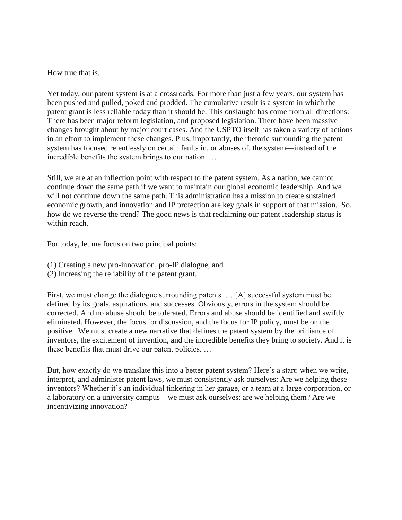How true that is.

Yet today, our patent system is at a crossroads. For more than just a few years, our system has been pushed and pulled, poked and prodded. The cumulative result is a system in which the patent grant is less reliable today than it should be. This onslaught has come from all directions: There has been major reform legislation, and proposed legislation. There have been massive changes brought about by major court cases. And the USPTO itself has taken a variety of actions in an effort to implement these changes. Plus, importantly, the rhetoric surrounding the patent system has focused relentlessly on certain faults in, or abuses of, the system—instead of the incredible benefits the system brings to our nation. …

Still, we are at an inflection point with respect to the patent system. As a nation, we cannot continue down the same path if we want to maintain our global economic leadership. And we will not continue down the same path. This administration has a mission to create sustained economic growth, and innovation and IP protection are key goals in support of that mission. So, how do we reverse the trend? The good news is that reclaiming our patent leadership status is within reach.

For today, let me focus on two principal points:

- (1) Creating a new pro-innovation, pro-IP dialogue, and
- (2) Increasing the reliability of the patent grant.

First, we must change the dialogue surrounding patents. … [A] successful system must be defined by its goals, aspirations, and successes. Obviously, errors in the system should be corrected. And no abuse should be tolerated. Errors and abuse should be identified and swiftly eliminated. However, the focus for discussion, and the focus for IP policy, must be on the positive. We must create a new narrative that defines the patent system by the brilliance of inventors, the excitement of invention, and the incredible benefits they bring to society. And it is these benefits that must drive our patent policies. …

But, how exactly do we translate this into a better patent system? Here's a start: when we write, interpret, and administer patent laws, we must consistently ask ourselves: Are we helping these inventors? Whether it's an individual tinkering in her garage, or a team at a large corporation, or a laboratory on a university campus—we must ask ourselves: are we helping them? Are we incentivizing innovation?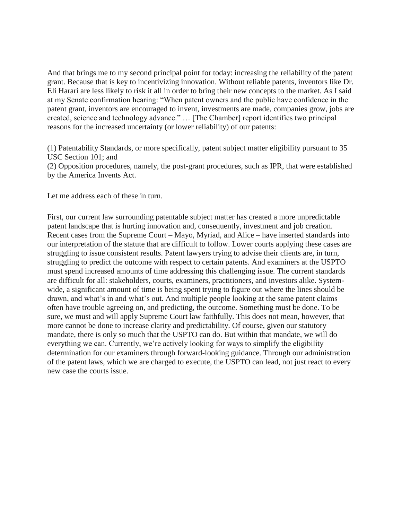And that brings me to my second principal point for today: increasing the reliability of the patent grant. Because that is key to incentivizing innovation. Without reliable patents, inventors like Dr. Eli Harari are less likely to risk it all in order to bring their new concepts to the market. As I said at my Senate confirmation hearing: "When patent owners and the public have confidence in the patent grant, inventors are encouraged to invent, investments are made, companies grow, jobs are created, science and technology advance." … [The Chamber] report identifies two principal reasons for the increased uncertainty (or lower reliability) of our patents:

(1) Patentability Standards, or more specifically, patent subject matter eligibility pursuant to 35 USC Section 101; and

(2) Opposition procedures, namely, the post-grant procedures, such as IPR, that were established by the America Invents Act.

Let me address each of these in turn.

First, our current law surrounding patentable subject matter has created a more unpredictable patent landscape that is hurting innovation and, consequently, investment and job creation. Recent cases from the Supreme Court – Mayo, Myriad, and Alice – have inserted standards into our interpretation of the statute that are difficult to follow. Lower courts applying these cases are struggling to issue consistent results. Patent lawyers trying to advise their clients are, in turn, struggling to predict the outcome with respect to certain patents. And examiners at the USPTO must spend increased amounts of time addressing this challenging issue. The current standards are difficult for all: stakeholders, courts, examiners, practitioners, and investors alike. Systemwide, a significant amount of time is being spent trying to figure out where the lines should be drawn, and what's in and what's out. And multiple people looking at the same patent claims often have trouble agreeing on, and predicting, the outcome. Something must be done. To be sure, we must and will apply Supreme Court law faithfully. This does not mean, however, that more cannot be done to increase clarity and predictability. Of course, given our statutory mandate, there is only so much that the USPTO can do. But within that mandate, we will do everything we can. Currently, we're actively looking for ways to simplify the eligibility determination for our examiners through forward-looking guidance. Through our administration of the patent laws, which we are charged to execute, the USPTO can lead, not just react to every new case the courts issue.